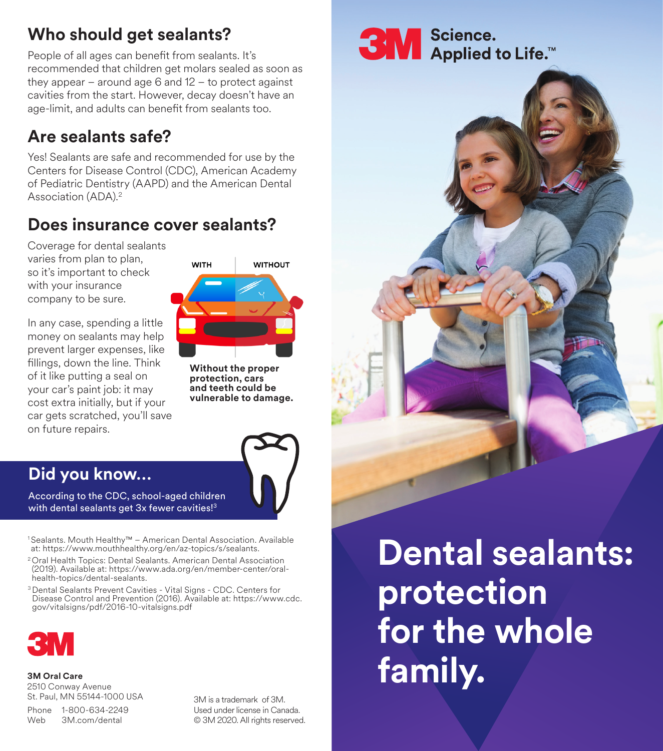# **Who should get sealants?**

People of all ages can benefit from sealants. It's recommended that children get molars sealed as soon as they appear – around age  $6$  and  $12$  – to protect against cavities from the start. However, decay doesn't have an age-limit, and adults can benefit from sealants too.

# **Are sealants safe?**

Yes! Sealants are safe and recommended for use by the Centers for Disease Control (CDC), American Academy of Pediatric Dentistry (AAPD) and the American Dental Association (ADA).2

## **Does insurance cover sealants?**

Coverage for dental sealants varies from plan to plan, so it's important to check with your insurance company to be sure.

In any case, spending a little money on sealants may help prevent larger expenses, like fillings, down the line. Think of it like putting a seal on your car's paint job: it may cost extra initially, but if your car gets scratched, you'll save on future repairs.



**Without the proper protection, cars and teeth could be vulnerable to damage.**



### **Did you know…**

According to the CDC, school-aged children with dental sealants get 3x fewer cavities!<sup>3</sup>

<sup>1</sup> Sealants. Mouth Healthy™ – American Dental Association. Available at: https://www.mouthhealthy.org/en/az-topics/s/sealants.

<sup>2</sup>Oral Health Topics: Dental Sealants. American Dental Association (2019). Available at: https://www.ada.org/en/member-center/oralhealth-topics/dental-sealants.

3 Dental Sealants Prevent Cavities - Vital Signs - CDC. Centers for Disease Control and Prevention (2016). Available at: https://www.cdc. gov/vitalsigns/pdf/2016-10-vitalsigns.pdf



**3M Oral Care**  2510 Conway Avenue St. Paul, MN 55144-1000 USA

Phone 1-800-634-2249 Web 3M.com/dental

3M is a trademark of 3M. Used under license in Canada. © 3M 2020. All rights reserved. **3M** Science.<br>Applied to Life.<sup>16</sup>



**Dental sealants: protection for the whole family.**